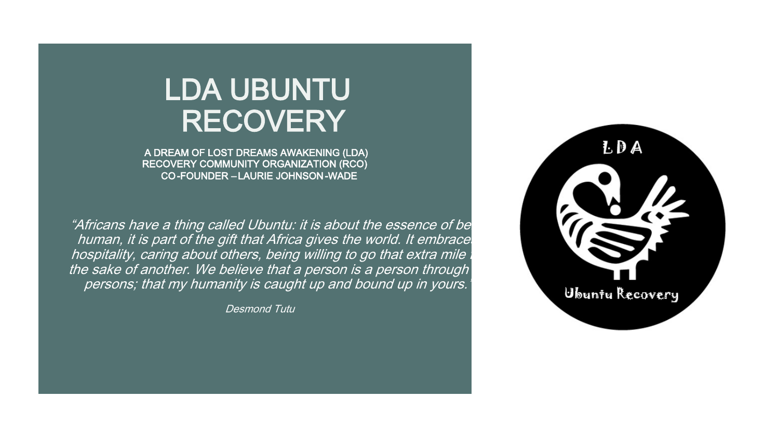# LDA UBUNTU RECOVERY

A DREAM OF LOST DREAMS AWAKENING (LDA) RECOVERY COMMUNITY ORGANIZATION (RCO) CO-FOUNDER – LAURIE JOHNSON -WADE

"Africans have a thing called Ubuntu: it is about the essence of bei human, it is part of the gift that Africa gives the world. It embrace. hospitality, caring about others, being willing to go that extra mile in the sake of another. We believe that a person is a person through persons; that my humanity is caught up and bound up in yours.

Desmond Tutu

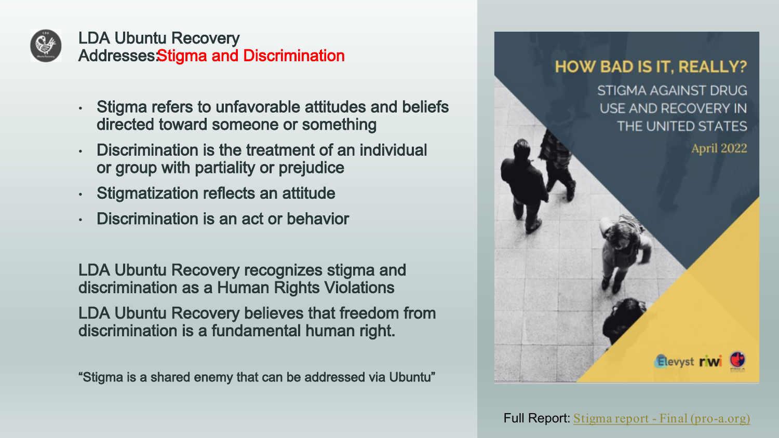

LDA Ubuntu Recovery Addresses Stigma and Discrimination

- Stigma refers to unfavorable attitudes and beliefs directed toward someone or something
- Discrimination is the treatment of an individual or group with partiality or prejudice
- Stigmatization reflects an attitude
- Discrimination is an act or behavior

LDA Ubuntu Recovery recognizes stigma and discrimination as a Human Rights Violations LDA Ubuntu Recovery believes that freedom from discrimination is a fundamental human right.

"Stigma is a shared enemy that can be addressed via Ubuntu"

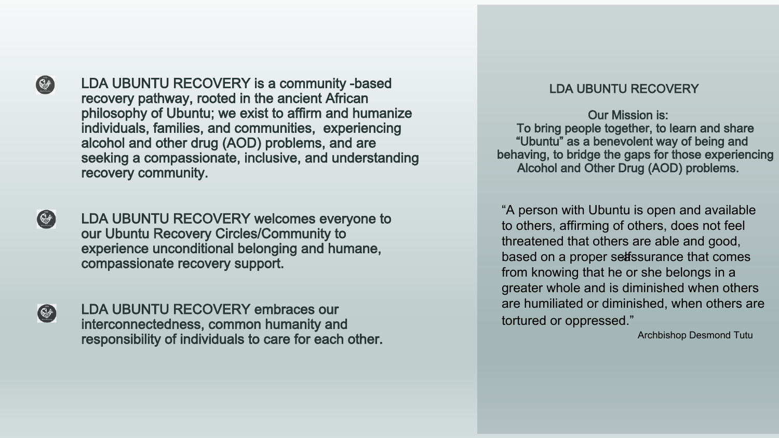

LDA UBUNTU RECOVERY is a community -based recovery pathway, rooted in the ancient African philosophy of Ubuntu; we exist to affirm and humanize individuals, families, and communities, experiencing alcohol and other drug (AOD) problems, and are seeking a compassionate, inclusive, and understanding recovery community.

 $\bigcirc$ 

LDA UBUNTU RECOVERY welcomes everyone to our Ubuntu Recovery Circles/Community to experience unconditional belonging and humane, compassionate recovery support.

 $\mathbb{C}$ 

LDA UBUNTU RECOVERY embraces our interconnectedness, common humanity and responsibility of individuals to care for each other.

#### LDA UBUNTU RECOVERY

Our Mission is: To bring people together, to learn and share "Ubuntu" as a benevolent way of being and behaving, to bridge the gaps for those experiencing Alcohol and Other Drug (AOD) problems.

"A person with Ubuntu is open and available to others, affirming of others, does not feel threatened that others are able and good, based on a proper selfssurance that comes from knowing that he or she belongs in a greater whole and is diminished when others are humiliated or diminished, when others are tortured or oppressed."

Archbishop Desmond Tutu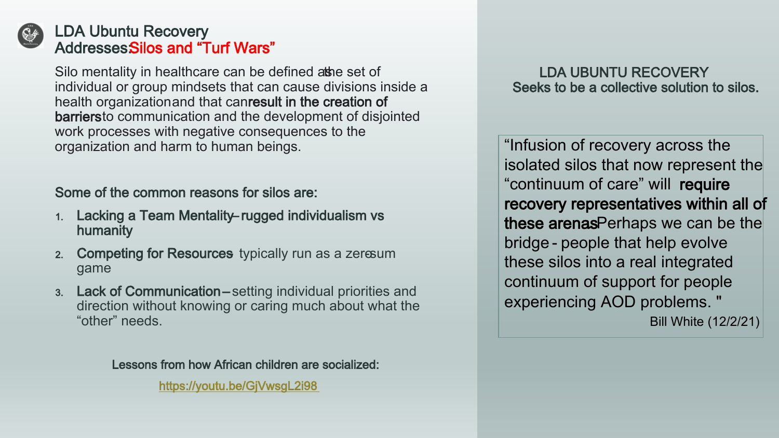

## LDA Ubuntu Recovery AddressesSilos and "Turf Wars"

Silo mentality in healthcare can be defined athe set of individual or group mindsets that can cause divisions inside a health organizationand that canresult in the creation of barriersto communication and the development of disjointed work processes with negative consequences to the organization and harm to human beings.

## Some of the common reasons for silos are:

- 1. Lacking a Team Mentality rugged individualism vs humanity
- 2. Competing for Resources typically run as a zero-sum game
- 3. Lack of Communication setting individual priorities and direction without knowing or caring much about what the "other" needs.

Lessons from how African children are socialized:

[https://youtu.be/GjVwsgL2i98](about:blank)

### LDA UBUNTU RECOVERY Seeks to be a collective solution to silos.

"Infusion of recovery across the isolated silos that now represent the "continuum of care" will require recovery representatives within all of these arenasPerhaps we can be the bridge - people that help evolve these silos into a real integrated continuum of support for people experiencing AOD problems. "

Bill White (12/2/21)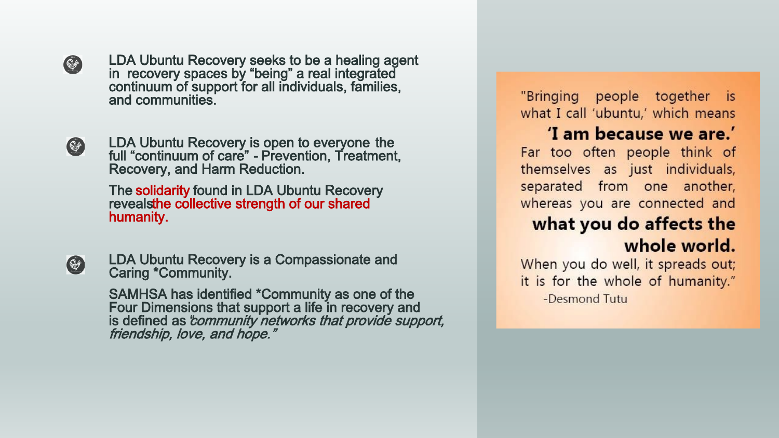

LDA Ubuntu Recovery seeks to be a healing agent in recovery spaces by "being" a real integrated continuum of support for all individuals, families, and communities.



LDA Ubuntu Recovery is open to everyone the full "continuum of care" - Prevention, Treatment, Recovery, and Harm Reduction.

The solidarity found in LDA Ubuntu Recovery revealsthe collective strength of our shared humanity.



LDA Ubuntu Recovery is a Compassionate and Caring \*Community.

SAMHSA has identified \*Community as one of the Four Dimensions that support a life in recovery and is defined as "community networks that provide support, friendship, love, and hope."

"Bringing people together is what I call 'ubuntu,' which means

## 'I am because we are.'

Far too often people think of themselves as just individuals, separated from one another, whereas you are connected and

# what you do affects the whole world.

When you do well, it spreads out; it is for the whole of humanity." -Desmond Tutu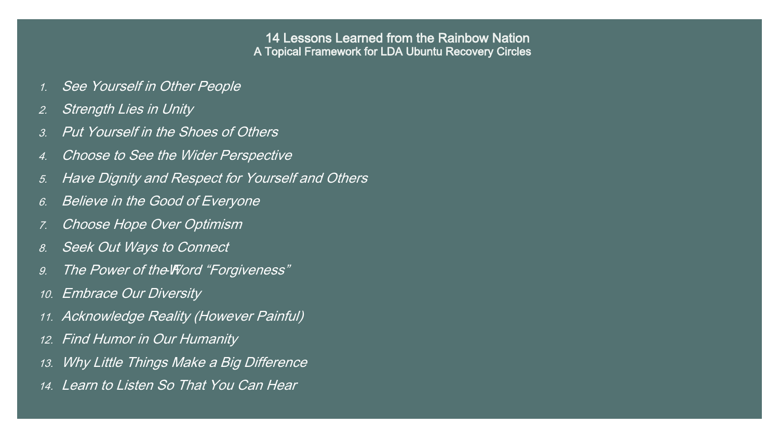#### 14 Lessons Learned from the Rainbow Nation A Topical Framework for LDA Ubuntu Recovery Circles

- 1. See Yourself in Other People
- 2. Strength Lies in Unity
- 3. Put Yourself in the Shoes of Others
- 4. Choose to See the Wider Perspective
- 5. Have Dignity and Respect for Yourself and Others
- 6. Believe in the Good of Everyone
- 7. Choose Hope Over Optimism
- 8. Seek Out Ways to Connect
- 9. The Power of the Word "Forgiveness"
- 10. Embrace Our Diversity
- 11. Acknowledge Reality (However Painful)
- 12. Find Humor in Our Humanity
- 13. Why Little Things Make a Big Difference
- 14. Learn to Listen So That You Can Hear